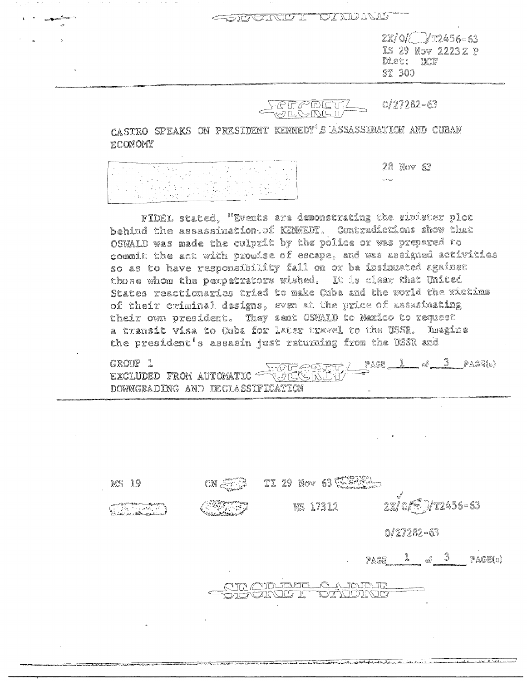## DIANGERO I DATACIÓN

 $2x/0$   $12456 - 63$ IS 29 Nov 22232 P Dist: HOF **ST 300** 

 $FCFPDETT/$  0/27282-63

CASTRO SPEAKS ON PRESIDENT KENNEDY'S ASSASSINATION AND CUBAN **ECONOMY** 

28 Nov 63  $\label{eq:2.1} \frac{1}{2} \left( \frac{1}{2} \left( \frac{1}{2} \right) \right) \left( \frac{1}{2} \left( \frac{1}{2} \right) \right) \left( \frac{1}{2} \left( \frac{1}{2} \right) \right) \left( \frac{1}{2} \right) \left( \frac{1}{2} \right) \left( \frac{1}{2} \right) \left( \frac{1}{2} \right) \left( \frac{1}{2} \right) \left( \frac{1}{2} \right) \left( \frac{1}{2} \right) \left( \frac{1}{2} \right) \left( \frac{1}{2} \right) \left( \frac{1}{2$  $\circ$   $\circ$ tan ing Pr

FIDEL stated, "Events are demonstrating the sinister plot behind the assassination. of KENNEDY, Contradictions show that OSWALD was made the culprit by the police or was prepared to commit the act with promise of escape, and was assigned activities so as to have responsibility fall on or be insimuated against those whom the perpetrators wished. It is clear that United States reactionaries tried to make Cuba and the world the victims of their criminal designs, even at the price of assasinating their own president. They sent OSWALD to Mexico to request a transit visa to Cuba for later travel to the USSR. Imagine the president's assasin just returning from the USSR and

PAGE  $1 - 3 - PAGE(s)$ GROUP<sub>1</sub> EXCLUDED FROM AUTOMATIC SUCHERING DOWNGRADING AND DECLASSIFICATION

TI 29 Nov 63 WEATH **MS 19**  $CN \leq 3$ 2x/0 ( 1 1 1 245 6 - 63 WS 17312  $\frac{1}{2}$  $0/27282 - 63$ PAGE 1 of 3 PAGE(5)